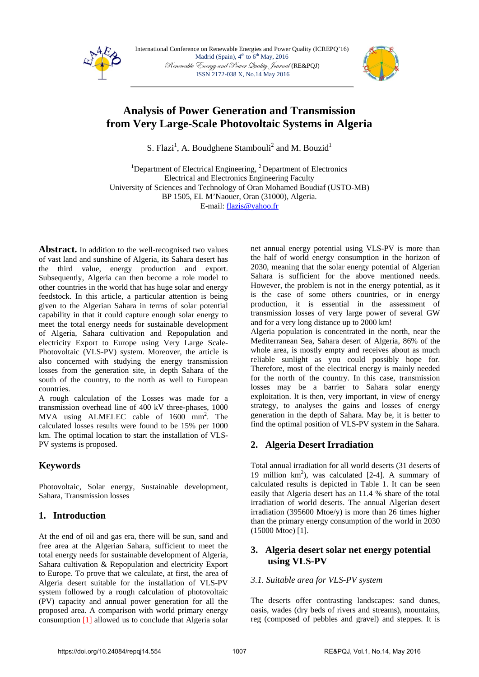

International Conference on Renewable Energies and Power Quality (ICREPQ'16) Madrid (Spain),  $4<sup>th</sup>$  to  $6<sup>th</sup>$  May, 2016 Renewable Energy and Power Quality Journal (RE&PQJ) ISSN 2172-038 X, No.14 May 2016



# **Analysis of Power Generation and Transmission from Very Large-Scale Photovoltaic Systems in Algeria**

S. Flazi<sup>1</sup>, A. Boudghene Stambouli<sup>2</sup> and M. Bouzid<sup>1</sup>

<sup>1</sup>Department of Electrical Engineering, <sup>2</sup>Department of Electronics Electrical and Electronics Engineering Faculty University of Sciences and Technology of Oran Mohamed Boudiaf (USTO-MB) BP 1505, EL M'Naouer, Oran (31000), Algeria. E-mail: flazis@yahoo.fr

Abstract. In addition to the well-recognised two values of vast land and sunshine of Algeria, its Sahara desert has the third value, energy production and export. Subsequently, Algeria can then become a role model to other countries in the world that has huge solar and energy feedstock. In this article, a particular attention is being given to the Algerian Sahara in terms of solar potential capability in that it could capture enough solar energy to meet the total energy needs for sustainable development of Algeria, Sahara cultivation and Repopulation and electricity Export to Europe using Very Large Scale-Photovoltaic (VLS-PV) system. Moreover, the article is also concerned with studying the energy transmission losses from the generation site, in depth Sahara of the south of the country, to the north as well to European countries.

A rough calculation of the Losses was made for a transmission overhead line of 400 kV three-phases, 1000 MVA using ALMELEC cable of 1600 mm<sup>2</sup>. The calculated losses results were found to be 15% per 1000 km. The optimal location to start the installation of VLS-PV systems is proposed.

# **Keywords**

Photovoltaic, Solar energy, Sustainable development, Sahara, Transmission losses

# **1. Introduction**

At the end of oil and gas era, there will be sun, sand and free area at the Algerian Sahara, sufficient to meet the total energy needs for sustainable development of Algeria, Sahara cultivation & Repopulation and electricity Export to Europe. To prove that we calculate, at first, the area of Algeria desert suitable for the installation of VLS-PV system followed by a rough calculation of photovoltaic (PV) capacity and annual power generation for all the proposed area. A comparison with world primary energy consumption [1] allowed us to conclude that Algeria solar net annual energy potential using VLS-PV is more than the half of world energy consumption in the horizon of 2030, meaning that the solar energy potential of Algerian Sahara is sufficient for the above mentioned needs. However, the problem is not in the energy potential, as it is the case of some others countries, or in energy production, it is essential in the assessment of transmission losses of very large power of several GW and for a very long distance up to 2000 km!

Algeria population is concentrated in the north, near the Mediterranean Sea, Sahara desert of Algeria, 86% of the whole area, is mostly empty and receives about as much reliable sunlight as you could possibly hope for. Therefore, most of the electrical energy is mainly needed for the north of the country. In this case, transmission losses may be a barrier to Sahara solar energy exploitation. It is then, very important, in view of energy strategy, to analyses the gains and losses of energy generation in the depth of Sahara. May be, it is better to find the optimal position of VLS-PV system in the Sahara.

# **2. Algeria Desert Irradiation**

Total annual irradiation for all world deserts (31 deserts of 19 million km2 ), was calculated [2-4]. A summary of calculated results is depicted in Table 1. It can be seen easily that Algeria desert has an 11.4 % share of the total irradiation of world deserts. The annual Algerian desert irradiation (395600 Mtoe/y) is more than 26 times higher than the primary energy consumption of the world in 2030 (15000 Mtoe) [1].

### **3. Algeria desert solar net energy potential using VLS-PV**

### *3.1. Suitable area for VLS-PV system*

The deserts offer contrasting landscapes: sand dunes, oasis, wades (dry beds of rivers and streams), mountains, reg (composed of pebbles and gravel) and steppes. It is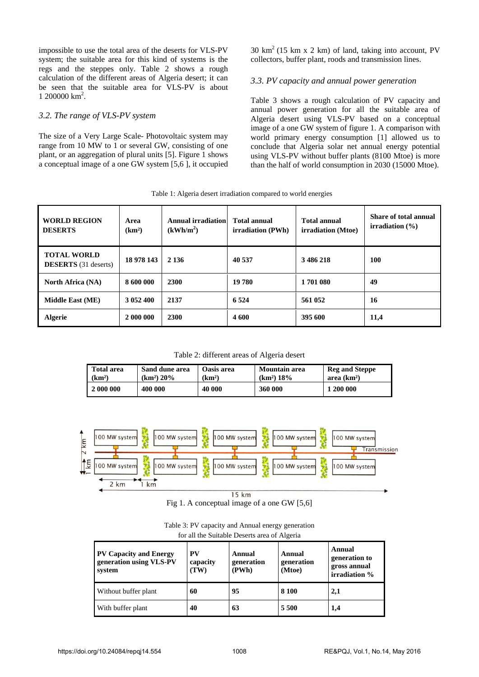impossible to use the total area of the deserts for VLS-PV system; the suitable area for this kind of systems is the regs and the steppes only. Table 2 shows a rough calculation of the different areas of Algeria desert; it can be seen that the suitable area for VLS-PV is about 1 200000 km<sup>2</sup>.

#### *3.2. The range of VLS-PV system*

The size of a Very Large Scale- Photovoltaic system may range from 10 MW to 1 or several GW, consisting of one plant, or an aggregation of plural units [5]. Figure 1 shows a conceptual image of a one GW system [5,6 ], it occupied  $30 \text{ km}^2$  (15 km x 2 km) of land, taking into account, PV collectors, buffer plant, roods and transmission lines.

#### *3.3. PV capacity and annual power generation*

Table 3 shows a rough calculation of PV capacity and annual power generation for all the suitable area of Algeria desert using VLS-PV based on a conceptual image of a one GW system of figure 1. A comparison with world primary energy consumption [1] allowed us to conclude that Algeria solar net annual energy potential using VLS-PV without buffer plants (8100 Mtoe) is more than the half of world consumption in 2030 (15000 Mtoe).

Table 1: Algeria desert irradiation compared to world energies

| <b>WORLD REGION</b><br><b>DESERTS</b>             | Area<br>(km <sup>2</sup> ) | Annual irradiation<br>(kWh/m <sup>2</sup> ) | <b>Total annual</b><br>irradiation (PWh) | <b>Total annual</b><br>irradiation (Mtoe) | Share of total annual<br>irradiation $(\% )$ |
|---------------------------------------------------|----------------------------|---------------------------------------------|------------------------------------------|-------------------------------------------|----------------------------------------------|
| <b>TOTAL WORLD</b><br><b>DESERTS</b> (31 deserts) | 18 978 143                 | 2 1 3 6                                     | 40 537                                   | 3486218                                   | 100                                          |
| <b>North Africa (NA)</b>                          | 8 600 000                  | <b>2300</b>                                 | 19 780                                   | 1701 080                                  | 49                                           |
| Middle East (ME)                                  | 3 052 400                  | 2137                                        | 6 5 24                                   | 561 052                                   | 16                                           |
| <b>Algerie</b>                                    | 2 000 000                  | <b>2300</b>                                 | 4600                                     | 395 600                                   | 11,4                                         |

Table 2: different areas of Algeria desert

| <b>Total area</b>  | Sand dune area         | Oasis area         | Mountain area          | <b>Reg and Steppe</b> |
|--------------------|------------------------|--------------------|------------------------|-----------------------|
| (km <sup>2</sup> ) | (km <sup>2</sup> ) 20% | (km <sup>2</sup> ) | (km <sup>2</sup> ) 18% | area $(km2)$          |
| 2 000 000          | 400 000                | 40 000             | 360 000                | <b>200 000</b>        |



Fig 1. A conceptual image of a one GW [5,6]

| Table 3: PV capacity and Annual energy generation |
|---------------------------------------------------|
| for all the Suitable Deserts area of Algeria      |

| <b>PV Capacity and Energy</b><br>generation using VLS-PV<br>system | PV<br>capacity<br>(TW) | Annual<br>generation<br>(PWh) | Annual<br>generation<br>(Mtoe) | Annual<br>generation to<br>gross annual<br>irradiation % |  |
|--------------------------------------------------------------------|------------------------|-------------------------------|--------------------------------|----------------------------------------------------------|--|
| Without buffer plant                                               | 60                     | 95                            | 8 1 0 0                        | 2,1                                                      |  |
| With buffer plant                                                  | 40                     | 63                            | 5500                           | 1,4                                                      |  |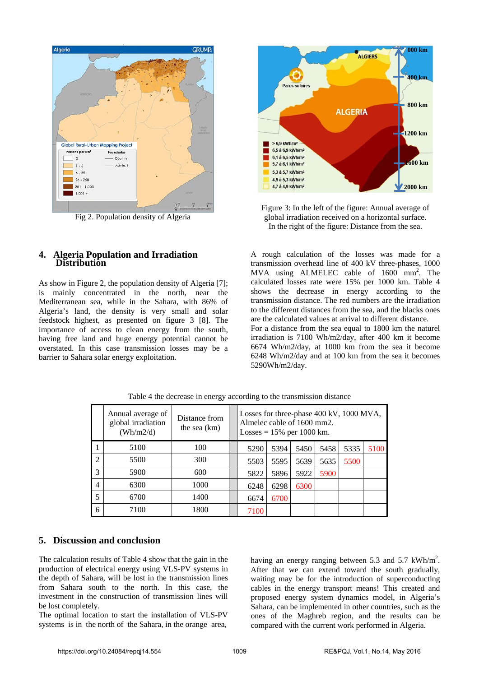

Fig 2. Population density of Algeria



As show in Figure 2, the population density of Algeria [7]; is mainly concentrated in the north, near the Mediterranean sea, while in the Sahara, with 86% of Algeria's land, the density is very small and solar feedstock highest, as presented on figure 3 [8]. The importance of access to clean energy from the south, having free land and huge energy potential cannot be overstated. In this case transmission losses may be a barrier to Sahara solar energy exploitation.



Figure 3: In the left of the figure: Annual average of global irradiation received on a horizontal surface. In the right of the figure: Distance from the sea.

A rough calculation of the losses was made for a transmission overhead line of 400 kV three-phases, 1000 MVA using ALMELEC cable of 1600 mm<sup>2</sup>. The calculated losses rate were 15% per 1000 km. Table 4 shows the decrease in energy according to the transmission distance. The red numbers are the irradiation to the different distances from the sea, and the blacks ones are the calculated values at arrival to different distance. For a distance from the sea equal to 1800 km the naturel irradiation is 7100 Wh/m2/day, after 400 km it become 6674 Wh/m2/day, at 1000 km from the sea it become 6248 Wh/m2/day and at 100 km from the sea it becomes 5290Wh/m2/day.

|                | Annual average of<br>global irradiation<br>(Wh/m2/d) | Distance from<br>the sea $(km)$ | Losses for three-phase 400 kV, 1000 MVA,<br>Almelec cable of 1600 mm2.<br>Losses = $15%$ per 1000 km. |      |      |      |      |      |
|----------------|------------------------------------------------------|---------------------------------|-------------------------------------------------------------------------------------------------------|------|------|------|------|------|
|                | 5100                                                 | 100                             | 5290                                                                                                  | 5394 | 5450 | 5458 | 5335 | 5100 |
| $\overline{2}$ | 5500                                                 | 300                             | 5503                                                                                                  | 5595 | 5639 | 5635 | 5500 |      |
| 3              | 5900                                                 | 600                             | 5822                                                                                                  | 5896 | 5922 | 5900 |      |      |
| $\overline{4}$ | 6300                                                 | 1000                            | 6248                                                                                                  | 6298 | 6300 |      |      |      |
| 5              | 6700                                                 | 1400                            | 6674                                                                                                  | 6700 |      |      |      |      |
| 6              | 7100                                                 | 1800                            | 7100                                                                                                  |      |      |      |      |      |

Table 4 the decrease in energy according to the transmission distance

## **5. Discussion and conclusion**

The calculation results of Table 4 show that the gain in the production of electrical energy using VLS-PV systems in the depth of Sahara, will be lost in the transmission lines from Sahara south to the north. In this case, the investment in the construction of transmission lines will be lost completely.

The optimal location to start the installation of VLS-PV systems is in the north of the Sahara, in the orange area,

having an energy ranging between 5.3 and 5.7  $kWh/m<sup>2</sup>$ . After that we can extend toward the south gradually, waiting may be for the introduction of superconducting cables in the energy transport means! This created and proposed energy system dynamics model, in Algeria's Sahara, can be implemented in other countries, such as the ones of the Maghreb region, and the results can be compared with the current work performed in Algeria.